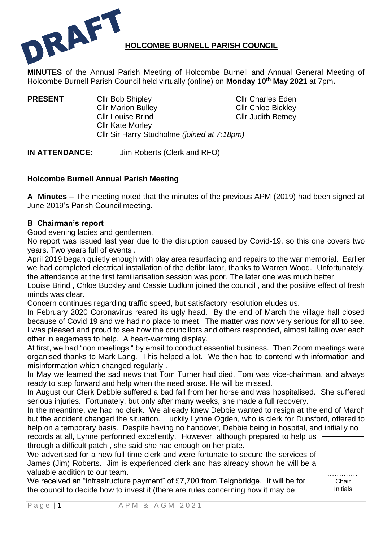

**MINUTES** of the Annual Parish Meeting of Holcombe Burnell and Annual General Meeting of Holcombe Burnell Parish Council held virtually (online) on **Monday 10 th May 2021** at 7pm**.**

**PRESENT** Clir Bob Shipley Clir Charles Eden Cllr Marion Bulley Cllr Chloe Bickley Cllr Louise Brind Cllr Judith Betney Cllr Kate Morley Cllr Sir Harry Studholme *(joined at 7:18pm)*

**IN ATTENDANCE:** Jim Roberts (Clerk and RFO)

# **Holcombe Burnell Annual Parish Meeting**

**A Minutes** – The meeting noted that the minutes of the previous APM (2019) had been signed at June 2019's Parish Council meeting.

## **B Chairman's report**

Good evening ladies and gentlemen.

No report was issued last year due to the disruption caused by Covid-19, so this one covers two years. Two years full of events .

April 2019 began quietly enough with play area resurfacing and repairs to the war memorial. Earlier we had completed electrical installation of the defibrillator, thanks to Warren Wood. Unfortunately, the attendance at the first familiarisation session was poor. The later one was much better.

Louise Brind , Chloe Buckley and Cassie Ludlum joined the council , and the positive effect of fresh minds was clear.

Concern continues regarding traffic speed, but satisfactory resolution eludes us.

In February 2020 Coronavirus reared its ugly head. By the end of March the village hall closed because of Covid 19 and we had no place to meet. The matter was now very serious for all to see. I was pleased and proud to see how the councillors and others responded, almost falling over each other in eagerness to help. A heart-warming display.

At first, we had "non meetings " by email to conduct essential business. Then Zoom meetings were organised thanks to Mark Lang. This helped a lot. We then had to contend with information and misinformation which changed regularly .

In May we learned the sad news that Tom Turner had died. Tom was vice-chairman, and always ready to step forward and help when the need arose. He will be missed.

In August our Clerk Debbie suffered a bad fall from her horse and was hospitalised. She suffered serious injuries. Fortunately, but only after many weeks, she made a full recovery.

In the meantime, we had no clerk. We already knew Debbie wanted to resign at the end of March but the accident changed the situation. Luckily Lynne Ogden, who is clerk for Dunsford, offered to help on a temporary basis. Despite having no handover, Debbie being in hospital, and initially no

records at all, Lynne performed excellently. However, although prepared to help us through a difficult patch , she said she had enough on her plate.

We advertised for a new full time clerk and were fortunate to secure the services of James (Jim) Roberts. Jim is experienced clerk and has already shown he will be a valuable addition to our team.

We received an "infrastructure payment" of £7,700 from Teignbridge. It will be for the council to decide how to invest it (there are rules concerning how it may be

…….…… Chair Initials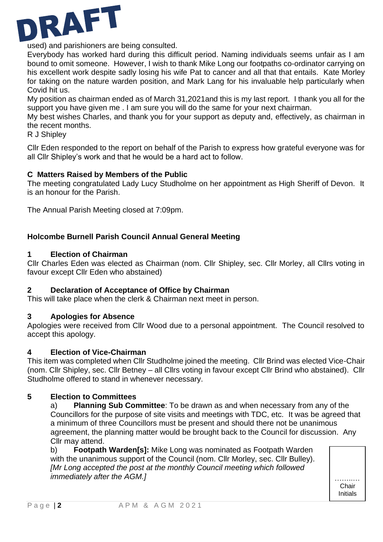

used) and parishioners are being consulted.

Everybody has worked hard during this difficult period. Naming individuals seems unfair as I am bound to omit someone. However, I wish to thank Mike Long our footpaths co-ordinator carrying on his excellent work despite sadly losing his wife Pat to cancer and all that that entails. Kate Morley for taking on the nature warden position, and Mark Lang for his invaluable help particularly when Covid hit us.

My position as chairman ended as of March 31,2021and this is my last report. I thank you all for the support you have given me . I am sure you will do the same for your next chairman.

My best wishes Charles, and thank you for your support as deputy and, effectively, as chairman in the recent months.

R J Shipley

Cllr Eden responded to the report on behalf of the Parish to express how grateful everyone was for all Cllr Shipley's work and that he would be a hard act to follow.

## **C Matters Raised by Members of the Public**

The meeting congratulated Lady Lucy Studholme on her appointment as High Sheriff of Devon. It is an honour for the Parish.

The Annual Parish Meeting closed at 7:09pm.

## **Holcombe Burnell Parish Council Annual General Meeting**

## **1 Election of Chairman**

Cllr Charles Eden was elected as Chairman (nom. Cllr Shipley, sec. Cllr Morley, all Cllrs voting in favour except Cllr Eden who abstained)

#### **2 Declaration of Acceptance of Office by Chairman**

This will take place when the clerk & Chairman next meet in person.

## **3 Apologies for Absence**

Apologies were received from Cllr Wood due to a personal appointment. The Council resolved to accept this apology.

## **4 Election of Vice-Chairman**

This item was completed when Cllr Studholme joined the meeting. Cllr Brind was elected Vice-Chair (nom. Cllr Shipley, sec. Cllr Betney – all Cllrs voting in favour except Cllr Brind who abstained). Cllr Studholme offered to stand in whenever necessary.

#### **5 Election to Committees**

a) **Planning Sub Committee**: To be drawn as and when necessary from any of the Councillors for the purpose of site visits and meetings with TDC, etc. It was be agreed that a minimum of three Councillors must be present and should there not be unanimous agreement, the planning matter would be brought back to the Council for discussion. Any Cllr may attend.

b) **Footpath Warden[s]:** Mike Long was nominated as Footpath Warden with the unanimous support of the Council (nom. Cllr Morley, sec. Cllr Bulley). *[Mr Long accepted the post at the monthly Council meeting which followed immediately after the AGM.1* 

**Chair** Initials